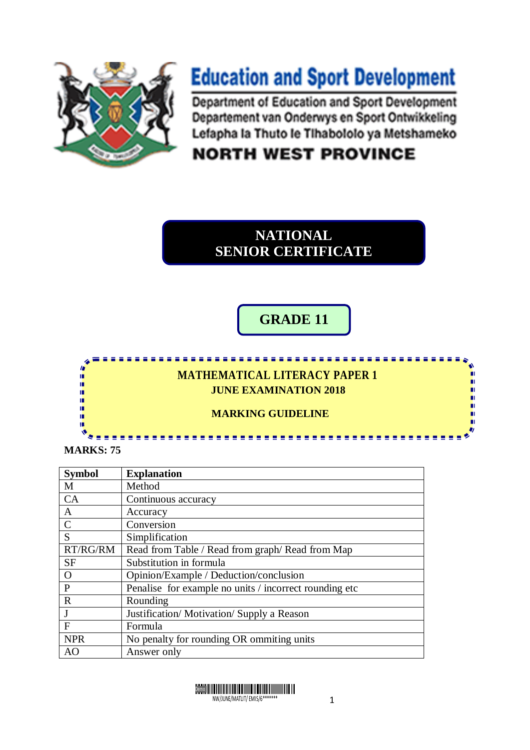

## **Education and Sport Development**

Department of Education and Sport Development Departement van Onderwys en Sport Ontwikkeling Lefapha la Thuto le Tihabololo ya Metshameko

## **NORTH WEST PROVINCE**

## **NATIONAL SENIOR CERTIFICATE**

**GRADE 11**

n

## **MATHEMATICAL LITERACY PAPER 1 JUNE EXAMINATION 2018**

 **MARKING GUIDELINE**

**MARKS: 75** 

T ń

唓 ı. n. m Ŵ тĒ

| <b>Symbol</b> | <b>Explanation</b>                                     |
|---------------|--------------------------------------------------------|
| M             | Method                                                 |
| <b>CA</b>     | Continuous accuracy                                    |
| A             | Accuracy                                               |
| $\mathcal{C}$ | Conversion                                             |
| S             | Simplification                                         |
| RT/RG/RM      | Read from Table / Read from graph/ Read from Map       |
| <b>SF</b>     | Substitution in formula                                |
| $\Omega$      | Opinion/Example / Deduction/conclusion                 |
| P             | Penalise for example no units / incorrect rounding etc |
| $\mathbf R$   | Rounding                                               |
| J             | Justification/Motivation/Supply a Reason               |
| $\mathbf{F}$  | Formula                                                |
| <b>NPR</b>    | No penalty for rounding OR ommiting units              |
| AO            | Answer only                                            |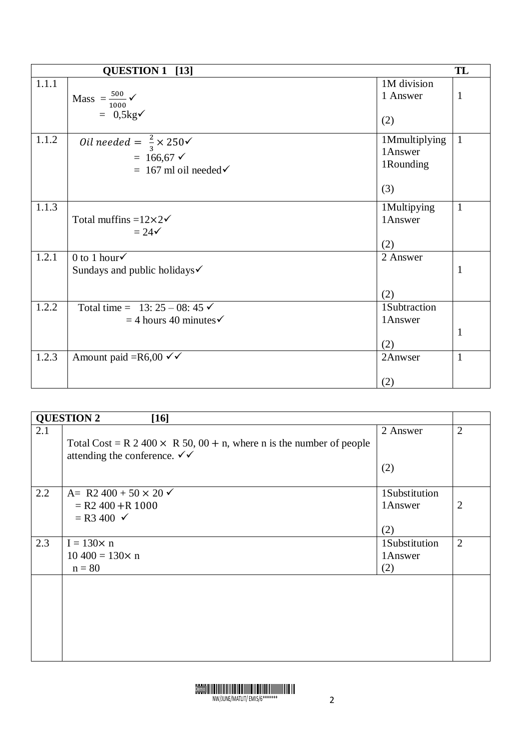|       | QUESTION 1 [13]                           |                         | TL           |
|-------|-------------------------------------------|-------------------------|--------------|
| 1.1.1 |                                           | 1M division<br>1 Answer | $\mathbf{1}$ |
|       | Mass $=\frac{500}{1000}$ $\checkmark$     |                         |              |
|       | $= 0.5 \text{kg} \checkmark$              | (2)                     |              |
| 1.1.2 | Oil needed = $\frac{2}{3} \times 250$     | 1Mmultiplying           | $\mathbf{1}$ |
|       | $= 166,67$ $\checkmark$                   | 1Answer                 |              |
|       | $= 167$ ml oil needed $\checkmark$        | 1Rounding               |              |
|       |                                           | (3)                     |              |
| 1.1.3 |                                           | 1Multipying             | $\mathbf{1}$ |
|       | Total muffins = $12 \times 2 \checkmark$  | 1Answer                 |              |
|       | $= 24 \checkmark$                         |                         |              |
|       |                                           | (2)                     |              |
| 1.2.1 | 0 to 1 hour $\checkmark$                  | 2 Answer                |              |
|       | Sundays and public holidays $\checkmark$  |                         | $\mathbf{1}$ |
|       |                                           | (2)                     |              |
| 1.2.2 | Total time = $13: 25 - 08: 45 \checkmark$ | 1Subtraction            |              |
|       | $=$ 4 hours 40 minutes $\checkmark$       | 1Answer                 |              |
|       |                                           |                         | $\mathbf{1}$ |
|       |                                           | (2)                     |              |
| 1.2.3 | Amount paid = $R6,00 \checkmark$          | 2Anwser                 | $\mathbf{1}$ |
|       |                                           | (2)                     |              |
|       |                                           |                         |              |

| <b>QUESTION 2</b><br>$[16]$ |                                                                                                                                  |                |                |
|-----------------------------|----------------------------------------------------------------------------------------------------------------------------------|----------------|----------------|
| 2.1                         | Total Cost = R 2 400 $\times$ R 50, 00 + n, where n is the number of people<br>attending the conference. $\checkmark \checkmark$ | 2 Answer       | $\overline{2}$ |
|                             |                                                                                                                                  | (2)            |                |
| 2.2                         | A= R2 400 + 50 $\times$ 20 $\times$                                                                                              | 1Substitution  |                |
|                             | $=$ R2 400 + R 1000<br>$=$ R3 400 $\checkmark$                                                                                   | 1Answer<br>(2) | $\overline{2}$ |
| 2.3                         | $I = 130 \times n$                                                                                                               | 1Substitution  | $\overline{2}$ |
|                             | $10\,400 = 130 \times n$<br>$n = 80$                                                                                             | 1Answer<br>(2) |                |
|                             |                                                                                                                                  |                |                |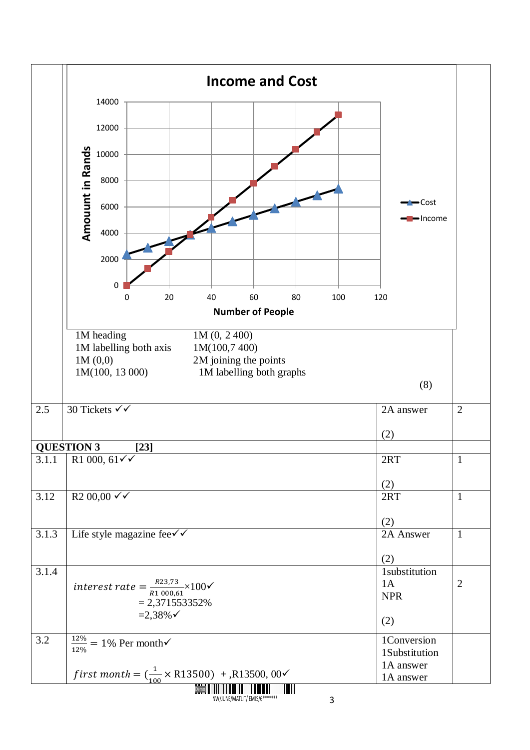|       | <b>Income and Cost</b>                                                                                                                                  |                            |                |
|-------|---------------------------------------------------------------------------------------------------------------------------------------------------------|----------------------------|----------------|
|       | 14000                                                                                                                                                   |                            |                |
|       | 12000                                                                                                                                                   |                            |                |
|       |                                                                                                                                                         |                            |                |
|       | 10000                                                                                                                                                   |                            |                |
|       | 8000                                                                                                                                                    |                            |                |
|       | <b>Amouunt in Rands</b><br>6000                                                                                                                         | $\blacksquare$ Cost        |                |
|       | 4000                                                                                                                                                    | $l$ Income                 |                |
|       | 2000                                                                                                                                                    |                            |                |
|       |                                                                                                                                                         |                            |                |
|       | 0<br>20<br>40<br>60<br>80<br>0<br>100                                                                                                                   | 120                        |                |
|       | <b>Number of People</b>                                                                                                                                 |                            |                |
|       | 1M heading<br>1M(0, 2400)<br>1M(100,7 400)<br>1M labelling both axis<br>1M(0,0)<br>2M joining the points<br>1M(100, 13 000)<br>1M labelling both graphs |                            |                |
|       |                                                                                                                                                         | (8)                        |                |
| 2.5   | 30 Tickets √√                                                                                                                                           | 2A answer                  | $\overline{2}$ |
|       |                                                                                                                                                         | (2)                        |                |
|       | <b>QUESTION 3</b><br>$[23]$                                                                                                                             |                            |                |
|       | 3.1.1 R1 000, $61\sqrt{ }$                                                                                                                              | 2RT                        | $\,1\,$        |
|       |                                                                                                                                                         | (2)                        |                |
| 3.12  | $R200,00 \checkmark$                                                                                                                                    | 2RT                        | $\mathbf{1}$   |
|       |                                                                                                                                                         | (2)                        |                |
| 3.1.3 | Life style magazine fee $\checkmark$                                                                                                                    | 2A Answer                  | $\mathbf{1}$   |
|       |                                                                                                                                                         | (2)                        |                |
| 3.1.4 |                                                                                                                                                         | 1substitution              |                |
|       | interest rate = $\frac{R23,73}{R1,000,61}$ × 100√                                                                                                       | 1A<br><b>NPR</b>           | $\overline{2}$ |
|       | $= 2,371553352%$                                                                                                                                        |                            |                |
|       | $=2,38\%$                                                                                                                                               | (2)                        |                |
| 3.2   | $\frac{12\%}{12\%}$ = 1% Per month $\checkmark$                                                                                                         | 1Conversion                |                |
|       |                                                                                                                                                         | 1Substitution<br>1A answer |                |
|       | <i>first month</i> = $\left(\frac{1}{100} \times \text{R}13500\right)$ + , R13500, 00 $\checkmark$                                                      | 1A answer                  |                |
|       |                                                                                                                                                         |                            |                |

N MATHILITIK AT INI MAHILITIK ING PINATUTIK AT ANG ATAWAT INI MAHILITIK AT INI MATLITIK AT ISANG AT AT ISANG A<br>NGC 2008 NATITIK AT ISANG AT ISANG AT ISANG AT ISANG AT ISANG AT ISANG AT ISANG AT ISANG AT ISANG AT ISANG AT<br>N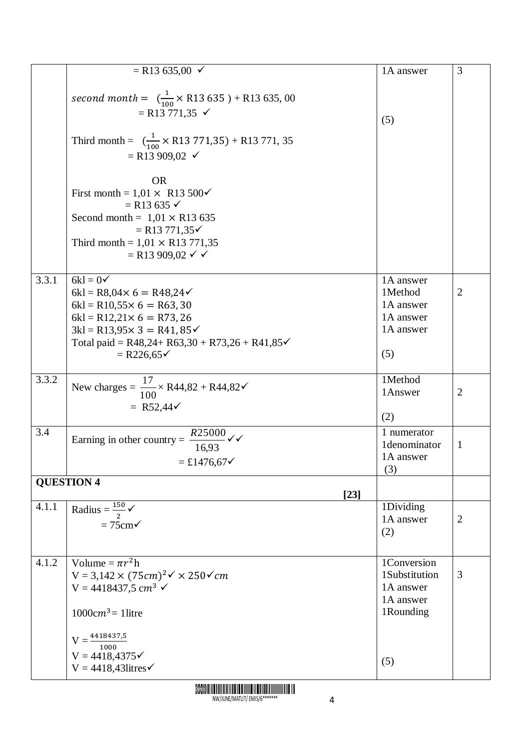|       | $=$ R13 635,00 $\checkmark$                                                               | 1A answer     | 3              |
|-------|-------------------------------------------------------------------------------------------|---------------|----------------|
|       |                                                                                           |               |                |
|       | second month = $\left(\frac{1}{100} \times \text{R}13\,635\right) + \text{R}13\,635,00$   |               |                |
|       | $=$ R13 771,35 $\checkmark$                                                               |               |                |
|       |                                                                                           | (5)           |                |
|       |                                                                                           |               |                |
|       | Third month = $\left(\frac{1}{100} \times \text{R}13\ 771,35\right) + \text{R}13\ 771,35$ |               |                |
|       | $=$ R13 909,02 $\checkmark$                                                               |               |                |
|       |                                                                                           |               |                |
|       | <b>OR</b>                                                                                 |               |                |
|       | First month = $1,01 \times R13500\checkmark$                                              |               |                |
|       | $=$ R13 635 $\checkmark$                                                                  |               |                |
|       | Second month = $1,01 \times R13$ 635                                                      |               |                |
|       | $=$ R13 771,35 $\checkmark$                                                               |               |                |
|       | Third month = $1,01 \times R13$ 771,35                                                    |               |                |
|       | $=$ R13 909,02 $\checkmark$ $\checkmark$                                                  |               |                |
|       |                                                                                           |               |                |
| 3.3.1 | $6kl = 0$                                                                                 | 1A answer     |                |
|       | $6kl = R8,04 \times 6 = R48,24 \times$                                                    | 1Method       | $\overline{2}$ |
|       | $6kl = R10,55 \times 6 = R63,30$                                                          | 1A answer     |                |
|       | $6kl = R12,21 \times 6 = R73,26$                                                          | 1A answer     |                |
|       | $3kl = R13,95 \times 3 = R41,85 \times$                                                   | 1A answer     |                |
|       | Total paid = R48,24+ R63,30 + R73,26 + R41,85 $\checkmark$                                |               |                |
|       | $= R226,65\checkmark$                                                                     | (5)           |                |
|       |                                                                                           |               |                |
| 3.3.2 |                                                                                           | 1Method       |                |
|       | New charges = $\frac{17}{100}$ × R44,82 + R44,82 $\checkmark$                             | 1Answer       | $\overline{2}$ |
|       | = R52,44 $\checkmark$                                                                     |               |                |
|       |                                                                                           | (2)           |                |
| 3.4   | $R25000 \checkmark$                                                                       | 1 numerator   |                |
|       | Earning in other country $=$<br>16,93                                                     | 1denominator  | $\mathbf{1}$   |
|       |                                                                                           | 1A answer     |                |
|       | $=$ £1476,67 $\checkmark$                                                                 | (3)           |                |
|       | <b>QUESTION 4</b>                                                                         |               |                |
|       | $[23]$                                                                                    |               |                |
| 4.1.1 | Radius = $\frac{150}{2}$ $\checkmark$                                                     | 1Dividing     |                |
|       | $= 75$ cm $\checkmark$                                                                    | 1A answer     | $\overline{2}$ |
|       |                                                                                           | (2)           |                |
|       |                                                                                           |               |                |
| 4.1.2 | Volume = $\pi r^2 h$                                                                      | 1Conversion   |                |
|       | $V = 3,142 \times (75cm)^2 \checkmark \times 250 \checkmark cm$                           | 1Substitution | 3              |
|       |                                                                                           | 1A answer     |                |
|       | V = 4418437,5 cm <sup>3</sup> $\checkmark$                                                | 1A answer     |                |
|       |                                                                                           | 1Rounding     |                |
|       | $1000 \text{cm}^3 = 1$ litre                                                              |               |                |
|       |                                                                                           |               |                |
|       | $V = \frac{4418437,5}{1000}$                                                              |               |                |
|       | $V = 4418,4375\checkmark$                                                                 | (5)           |                |
|       | $V = 4418,43$ litres $\checkmark$                                                         |               |                |
|       |                                                                                           |               |                |